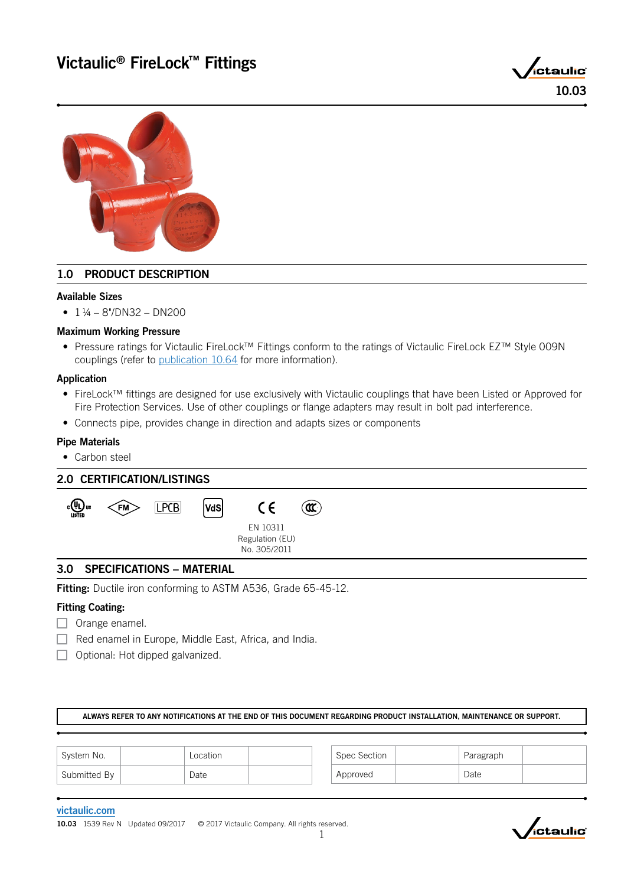



# 1.0 PRODUCT DESCRIPTION

## Available Sizes

 $\bullet$  1 ¼ – 8"/DN32 – DN200

## Maximum Working Pressure

• Pressure ratings for Victaulic FireLock™ Fittings conform to the ratings of Victaulic FireLock EZ™ Style 009N couplings (refer to [publication 10.64](http://static.victaulic.com/assets/uploads/literature/10.64.pdf) for more information).

## Application

- FireLock™ fittings are designed for use exclusively with Victaulic couplings that have been Listed or Approved for Fire Protection Services. Use of other couplings or flange adapters may result in bolt pad interference.
- Connects pipe, provides change in direction and adapts sizes or components

## Pipe Materials

• Carbon steel

| <b>2.0 CERTIFICATION/LISTINGS</b> |                                  |      |     |                                             |                   |  |  |  |  |  |  |
|-----------------------------------|----------------------------------|------|-----|---------------------------------------------|-------------------|--|--|--|--|--|--|
| <sub>շ</sub> (Ա) տ<br>LISTED      | $\zeta$ FM $>$                   | LPCB | VdS | $\epsilon$                                  | $\mathbf{\Omega}$ |  |  |  |  |  |  |
|                                   |                                  |      |     | EN 10311<br>Regulation (EU)<br>No. 305/2011 |                   |  |  |  |  |  |  |
| 3.0                               | <b>SPECIFICATIONS - MATERIAL</b> |      |     |                                             |                   |  |  |  |  |  |  |

Fitting: Ductile iron conforming to ASTM A536, Grade 65-45-12.

## Fitting Coating:

- $\Box$  Orange enamel.
- $\Box$  Red enamel in Europe, Middle East, Africa, and India.
- $\Box$  Optional: Hot dipped galvanized.

ALWAYS REFER TO ANY NOTIFICATIONS AT THE END OF THIS DOCUMENT REGARDING PRODUCT INSTALLATION, MAINTENANCE OR SUPPORT.

| System No.                | Location | Spec Section | Paragraph |  |
|---------------------------|----------|--------------|-----------|--|
| <sup>1</sup> Submitted By | Date     | Approved     | Date      |  |

### [victaulic.com](http://www.victaulic.com)

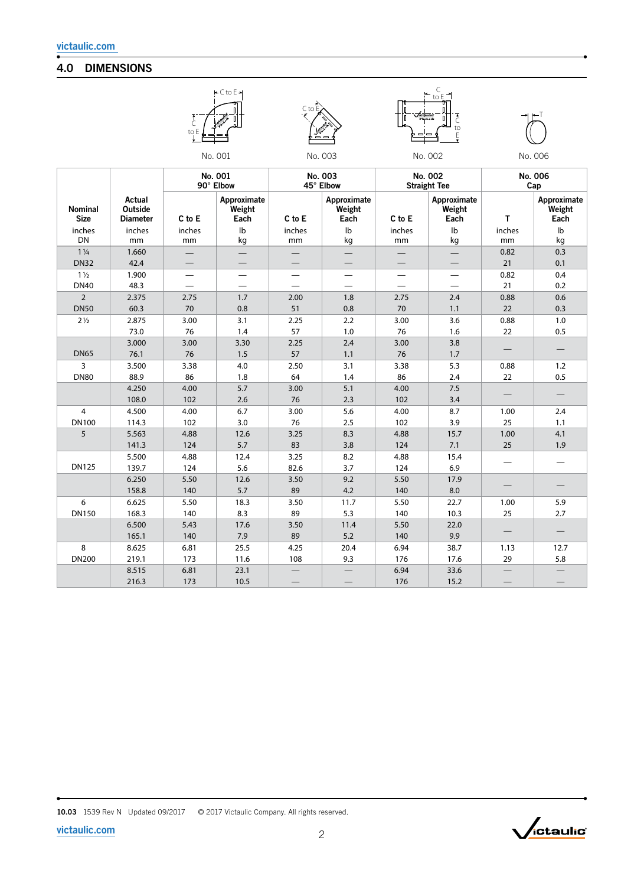# 4.0 DIMENSIONS









|                               |                                      | No. 001<br>90° Elbow |                               | No. 003<br>45° Elbow |                               | No. 002<br><b>Straight Tee</b> |                               | No. 006<br>Cap |                               |
|-------------------------------|--------------------------------------|----------------------|-------------------------------|----------------------|-------------------------------|--------------------------------|-------------------------------|----------------|-------------------------------|
| <b>Nominal</b><br><b>Size</b> | Actual<br>Outside<br><b>Diameter</b> | C to E               | Approximate<br>Weight<br>Each | C to E               | Approximate<br>Weight<br>Each | C to E                         | Approximate<br>Weight<br>Each | T              | Approximate<br>Weight<br>Each |
| inches                        | inches                               | inches               | $\mathsf{lb}$                 | inches               | $\mathsf{lb}$                 | inches                         | $\mathsf{lb}$                 | inches         | Ib                            |
| DN                            | mm                                   | mm                   | kg                            | mm                   | kg                            | mm                             | kg                            | mm             | kg                            |
| $1\frac{1}{4}$                | 1.660                                |                      |                               |                      |                               |                                |                               | 0.82           | 0.3                           |
| <b>DN32</b>                   | 42.4                                 |                      |                               |                      |                               |                                |                               | 21             | 0.1                           |
| $1\frac{1}{2}$                | 1.900                                |                      |                               | —                    | $\sim$                        | —                              |                               | 0.82           | 0.4                           |
| <b>DN40</b>                   | 48.3                                 |                      |                               |                      |                               |                                |                               | 21             | 0.2                           |
| $\overline{2}$                | 2.375                                | 2.75                 | 1.7                           | 2.00                 | 1.8                           | 2.75                           | 2.4                           | 0.88           | 0.6                           |
| <b>DN50</b>                   | 60.3                                 | 70                   | 0.8                           | 51                   | 0.8                           | 70                             | 1.1                           | 22             | 0.3                           |
| $2\frac{1}{2}$                | 2.875                                | 3.00                 | 3.1                           | 2.25                 | 2.2                           | 3.00                           | 3.6                           | 0.88           | 1.0                           |
|                               | 73.0                                 | 76                   | 1.4                           | 57                   | 1.0                           | 76                             | 1.6                           | 22             | 0.5                           |
|                               | 3.000                                | 3.00                 | 3.30                          | 2.25                 | 2.4                           | 3.00                           | 3.8                           |                |                               |
| <b>DN65</b>                   | 76.1                                 | 76                   | 1.5                           | 57                   | 1.1                           | 76                             | 1.7                           |                |                               |
| 3                             | 3.500                                | 3.38                 | 4.0                           | 2.50                 | 3.1                           | 3.38                           | 5.3                           | 0.88           | 1.2                           |
| <b>DN80</b>                   | 88.9                                 | 86                   | 1.8                           | 64                   | 1.4                           | 86                             | 2.4                           | 22             | 0.5                           |
|                               | 4.250                                | 4.00                 | 5.7                           | 3.00                 | 5.1                           | 4.00                           | 7.5                           |                |                               |
|                               | 108.0                                | 102                  | 2.6                           | 76                   | 2.3                           | 102                            | 3.4                           |                |                               |
| $\overline{4}$                | 4.500                                | 4.00                 | 6.7                           | 3.00                 | 5.6                           | 4.00                           | 8.7                           | 1.00           | 2.4                           |
| <b>DN100</b>                  | 114.3                                | 102                  | 3.0                           | 76                   | 2.5                           | 102                            | 3.9                           | 25             | 1.1                           |
| 5                             | 5.563                                | 4.88                 | 12.6                          | 3.25                 | 8.3                           | 4.88                           | 15.7                          | 1.00           | 4.1                           |
|                               | 141.3                                | 124                  | 5.7                           | 83                   | 3.8                           | 124                            | 7.1                           | 25             | 1.9                           |
|                               | 5.500                                | 4.88                 | 12.4                          | 3.25                 | 8.2                           | 4.88                           | 15.4                          |                |                               |
| <b>DN125</b>                  | 139.7                                | 124                  | 5.6                           | 82.6                 | 3.7                           | 124                            | 6.9                           |                |                               |
|                               | 6.250                                | 5.50                 | 12.6                          | 3.50                 | 9.2                           | 5.50                           | 17.9                          |                |                               |
|                               | 158.8                                | 140                  | 5.7                           | 89                   | 4.2                           | 140                            | 8.0                           |                |                               |
| 6                             | 6.625                                | 5.50                 | 18.3                          | 3.50                 | 11.7                          | 5.50                           | 22.7                          | 1.00           | 5.9                           |
| <b>DN150</b>                  | 168.3                                | 140                  | 8.3                           | 89                   | 5.3                           | 140                            | 10.3                          | 25             | 2.7                           |
|                               | 6.500                                | 5.43                 | 17.6                          | 3.50                 | 11.4                          | 5.50                           | 22.0                          |                |                               |
|                               | 165.1                                | 140                  | 7.9                           | 89                   | 5.2                           | 140                            | 9.9                           |                |                               |
| 8                             | 8.625                                | 6.81                 | 25.5                          | 4.25                 | 20.4                          | 6.94                           | 38.7                          | 1.13           | 12.7                          |
| <b>DN200</b>                  | 219.1                                | 173                  | 11.6                          | 108                  | 9.3                           | 176                            | 17.6                          | 29             | 5.8                           |
|                               | 8.515                                | 6.81                 | 23.1                          |                      |                               | 6.94                           | 33.6                          |                |                               |
|                               | 216.3                                | 173                  | 10.5                          |                      |                               | 176                            | 15.2                          |                |                               |

10.03 1539 Rev N Updated 09/2017 © 2017 Victaulic Company. All rights reserved.

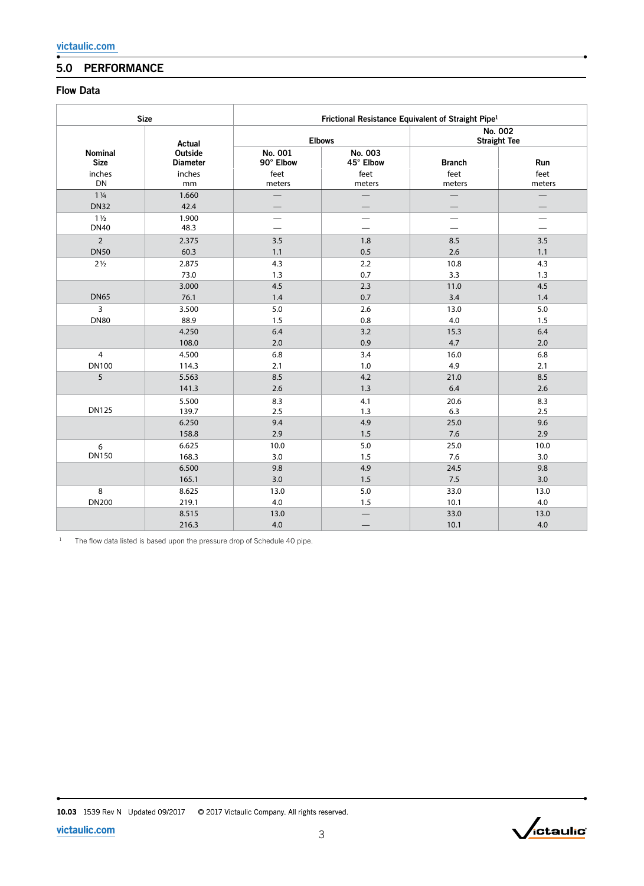# 5.0 PERFORMANCE

## Flow Data

|                                  | <b>Size</b>                          | Frictional Resistance Equivalent of Straight Pipe <sup>1</sup> |                              |                                |                          |  |  |  |
|----------------------------------|--------------------------------------|----------------------------------------------------------------|------------------------------|--------------------------------|--------------------------|--|--|--|
|                                  | Actual                               |                                                                | <b>Elbows</b>                | No. 002<br><b>Straight Tee</b> |                          |  |  |  |
| Nominal<br><b>Size</b><br>inches | Outside<br><b>Diameter</b><br>inches | No. 001<br>90° Elbow<br>feet                                   | No. 003<br>45° Elbow<br>feet | <b>Branch</b><br>feet          | Run<br>feet              |  |  |  |
| DN                               | mm                                   | meters                                                         | meters                       | meters                         | meters                   |  |  |  |
| $1\frac{1}{4}$<br><b>DN32</b>    | 1.660<br>42.4                        |                                                                |                              |                                |                          |  |  |  |
| $1\frac{1}{2}$<br><b>DN40</b>    | 1.900<br>48.3                        |                                                                |                              | $\overline{\phantom{0}}$       | $\overline{\phantom{0}}$ |  |  |  |
| $\overline{2}$                   | 2.375                                | 3.5                                                            | 1.8                          | 8.5                            | 3.5                      |  |  |  |
| <b>DN50</b>                      | 60.3                                 | 1.1                                                            | 0.5                          | 2.6                            | 1.1                      |  |  |  |
| $2\frac{1}{2}$                   | 2.875                                | 4.3                                                            | 2.2                          | 10.8                           | 4.3                      |  |  |  |
|                                  | 73.0                                 | 1.3                                                            | 0.7                          | 3.3                            | 1.3                      |  |  |  |
| <b>DN65</b>                      | 3.000                                | 4.5                                                            | 2.3                          | 11.0                           | 4.5                      |  |  |  |
|                                  | 76.1                                 | 1.4                                                            | 0.7                          | 3.4                            | 1.4                      |  |  |  |
| 3                                | 3.500                                | 5.0                                                            | 2.6                          | 13.0                           | 5.0                      |  |  |  |
| <b>DN80</b>                      | 88.9                                 | 1.5                                                            | 0.8                          | 4.0                            | 1.5                      |  |  |  |
|                                  | 4.250                                | 6.4                                                            | 3.2                          | 15.3                           | 6.4                      |  |  |  |
|                                  | 108.0                                | 2.0                                                            | 0.9                          | 4.7                            | 2.0                      |  |  |  |
| $\overline{4}$                   | 4.500                                | 6.8                                                            | 3.4                          | 16.0                           | 6.8                      |  |  |  |
| <b>DN100</b>                     | 114.3                                | 2.1                                                            | 1.0                          | 4.9                            | 2.1                      |  |  |  |
| 5                                | 5.563                                | 8.5                                                            | 4.2                          | 21.0                           | 8.5                      |  |  |  |
|                                  | 141.3                                | 2.6                                                            | 1.3                          | 6.4                            | 2.6                      |  |  |  |
| <b>DN125</b>                     | 5.500                                | 8.3                                                            | 4.1                          | 20.6                           | 8.3                      |  |  |  |
|                                  | 139.7                                | 2.5                                                            | 1.3                          | 6.3                            | 2.5                      |  |  |  |
|                                  | 6.250                                | 9.4                                                            | 4.9                          | 25.0                           | 9.6                      |  |  |  |
|                                  | 158.8                                | 2.9                                                            | 1.5                          | 7.6                            | 2.9                      |  |  |  |
| 6                                | 6.625                                | 10.0                                                           | 5.0                          | 25.0                           | 10.0                     |  |  |  |
| <b>DN150</b>                     | 168.3                                | 3.0                                                            | 1.5                          | 7.6                            | 3.0                      |  |  |  |
|                                  | 6.500                                | 9.8                                                            | 4.9                          | 24.5                           | 9.8                      |  |  |  |
|                                  | 165.1                                | 3.0                                                            | 1.5                          | 7.5                            | 3.0                      |  |  |  |
| 8                                | 8.625                                | 13.0                                                           | 5.0                          | 33.0                           | 13.0                     |  |  |  |
| <b>DN200</b>                     | 219.1                                | 4.0                                                            | 1.5                          | 10.1                           | 4.0                      |  |  |  |
|                                  | 8.515<br>216.3                       | 13.0<br>4.0                                                    |                              | 33.0<br>10.1                   | 13.0<br>4.0              |  |  |  |

<sup>1</sup> The flow data listed is based upon the pressure drop of Schedule 40 pipe.

10.03 1539 Rev N Updated 09/2017 © 2017 Victaulic Company. All rights reserved.